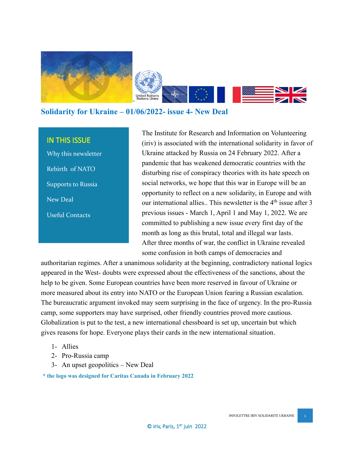

**Solidarity for Ukraine – 01/06/2022- issue 4- New Deal**

#### IN THIS ISSUE

Why this newsletter Rebirth of NATO Supports to Russia New Deal Useful Contacts

The Institute for Research and Information on Volunteering (iriv) is associated with the international solidarity in favor of Ukraine attacked by Russia on 24 February 2022. After a pandemic that has weakened democratic countries with the disturbing rise of conspiracy theories with its hate speech on social networks, we hope that this war in Europe will be an opportunity to reflect on a new solidarity, in Europe and with our international allies.. This newsletter is the 4<sup>th</sup> issue after 3 previous issues - March 1, April 1 and May 1, 2022. We are committed to publishing a new issue every first day of the month as long as this brutal, total and illegal war lasts. After three months of war, the conflict in Ukraine revealed some confusion in both camps of democracies and

authoritarian regimes. After a unanimous solidarity at the beginning, contradictory national logics appeared in the West- doubts were expressed about the effectiveness of the sanctions, about the help to be given. Some European countries have been more reserved in favour of Ukraine or more measured about its entry into NATO or the European Union fearing a Russian escalation. The bureaucratic argument invoked may seem surprising in the face of urgency. In the pro-Russia camp, some supporters may have surprised, other friendly countries proved more cautious. Globalization is put to the test, a new international chessboard is set up, uncertain but which gives reasons for hope. Everyone plays their cards in the new international situation.

- 1- Allies
- 2- Pro-Russia camp
- 3- An upset geopolitics New Deal

**\* the logo was designed for Caritas Canada in February 2022**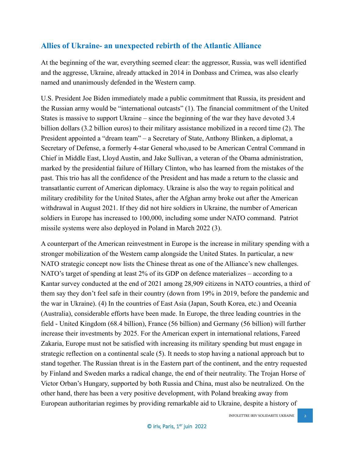## **Allies of Ukraine- an unexpected rebirth of the Atlantic Alliance**

At the beginning of the war, everything seemed clear: the aggressor, Russia, was well identified and the aggresse, Ukraine, already attacked in 2014 in Donbass and Crimea, was also clearly named and unanimously defended in the Western camp.

U.S. President Joe Biden immediately made a public commitment that Russia, its president and the Russian army would be "international outcasts" (1). The financial commitment of the United States is massive to support Ukraine – since the beginning of the war they have devoted 3.4 billion dollars (3.2 billion euros) to their military assistance mobilized in a record time (2). The President appointed a "dream team" – a Secretary of State, Anthony Blinken, a diplomat, a Secretary of Defense, a formerly 4-star General who,used to be American Central Command in Chief in Middle East, Lloyd Austin, and Jake Sullivan, a veteran of the Obama administration, marked by the presidential failure of Hillary Clinton, who has learned from the mistakes of the past. This trio has all the confidence of the President and has made a return to the classic and transatlantic current of American diplomacy. Ukraine is also the way to regain political and military credibility for the United States, after the Afghan army broke out after the American withdrawal in August 2021. If they did not hire soldiers in Ukraine, the number of American soldiers in Europe has increased to 100,000, including some under NATO command. Patriot missile systems were also deployed in Poland in March 2022 (3).

A counterpart of the American reinvestment in Europe is the increase in military spending with a stronger mobilization of the Western camp alongside the United States. In particular, a new NATO strategic concept now lists the Chinese threat as one of the Alliance's new challenges. NATO's target of spending at least 2% of its GDP on defence materializes – according to a Kantar survey conducted at the end of 2021 among 28,909 citizens in NATO countries, a third of them say they don't feel safe in their country (down from 19% in 2019, before the pandemic and the war in Ukraine). (4) In the countries of East Asia (Japan, South Korea, etc.) and Oceania (Australia), considerable efforts have been made. In Europe, the three leading countries in the field - United Kingdom (68.4 billion), France (56 billion) and Germany (56 billion) will further increase their investments by 2025. For the American expert in international relations, Fareed Zakaria, Europe must not be satisfied with increasing its military spending but must engage in strategic reflection on a continental scale (5). It needs to stop having a national approach but to stand together. The Russian threat is in the Eastern part of the continent, and the entry requested by Finland and Sweden marks a radical change, the end of their neutrality. The Trojan Horse of Victor Orban's Hungary, supported by both Russia and China, must also be neutralized. On the other hand, there has been a very positive development, with Poland breaking away from European authoritarian regimes by providing remarkable aid to Ukraine, despite a history of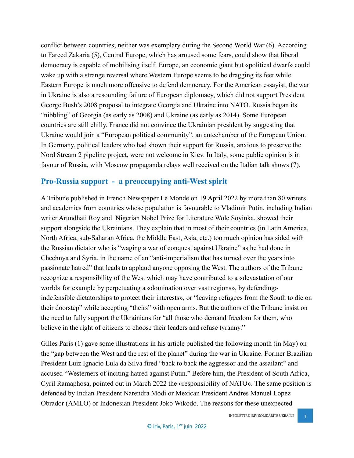conflict between countries; neither was exemplary during the Second World War (6). According to Fareed Zakaria (5), Central Europe, which has aroused some fears, could show that liberal democracy is capable of mobilising itself. Europe, an economic giant but «political dwarf» could wake up with a strange reversal where Western Europe seems to be dragging its feet while Eastern Europe is much more offensive to defend democracy. For the American essayist, the war in Ukraine is also a resounding failure of European diplomacy, which did not support President George Bush's 2008 proposal to integrate Georgia and Ukraine into NATO. Russia began its "nibbling" of Georgia (as early as 2008) and Ukraine (as early as 2014). Some European countries are still chilly. France did not convince the Ukrainian president by suggesting that Ukraine would join a "European political community", an antechamber of the European Union. In Germany, political leaders who had shown their support for Russia, anxious to preserve the Nord Stream 2 pipeline project, were not welcome in Kiev. In Italy, some public opinion is in favour of Russia, with Moscow propaganda relays well received on the Italian talk shows (7).

#### **Pro-Russia support - a preoccupying anti-West spirit**

A Tribune published in French Newspaper Le Monde on 19 April 2022 by more than 80 writers and academics from countries whose population is favourable to Vladimir Putin, including Indian writer Arundhati Roy and Nigerian Nobel Prize for Literature Wole Soyinka, showed their support alongside the Ukrainians. They explain that in most of their countries (in Latin America, North Africa, sub-Saharan Africa, the Middle East, Asia, etc.) too much opinion has sided with the Russian dictator who is "waging a war of conquest against Ukraine" as he had done in Chechnya and Syria, in the name of an "anti-imperialism that has turned over the years into passionate hatred" that leads to applaud anyone opposing the West. The authors of the Tribune recognize a responsibility of the West which may have contributed to a «devastation of our world» for example by perpetuating a «domination over vast regions», by defending» indefensible dictatorships to protect their interests», or "leaving refugees from the South to die on their doorstep" while accepting "theirs" with open arms. But the authors of the Tribune insist on the need to fully support the Ukrainians for "all those who demand freedom for them, who believe in the right of citizens to choose their leaders and refuse tyranny."

Gilles Paris (1) gave some illustrations in his article published the following month (in May) on the "gap between the West and the rest of the planet" during the war in Ukraine. Former Brazilian President Luiz Ignacio Lula da Silva fired "back to back the aggressor and the assailant" and accused "Westerners of inciting hatred against Putin." Before him, the President of South Africa, Cyril Ramaphosa, pointed out in March 2022 the «responsibility of NATO». The same position is defended by Indian President Narendra Modi or Mexican President Andres Manuel Lopez Obrador (AMLO) or Indonesian President Joko Wikodo. The reasons for these unexpected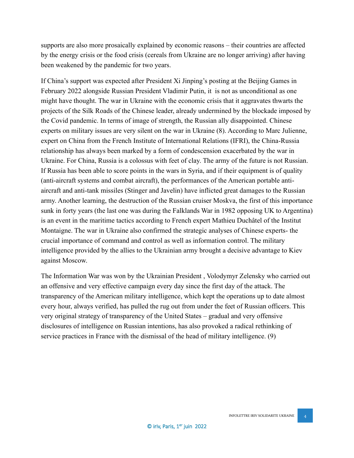supports are also more prosaically explained by economic reasons – their countries are affected by the energy crisis or the food crisis (cereals from Ukraine are no longer arriving) after having been weakened by the pandemic for two years.

If China's support was expected after President Xi Jinping's posting at the Beijing Games in February 2022 alongside Russian President Vladimir Putin, it is not as unconditional as one might have thought. The war in Ukraine with the economic crisis that it aggravates thwarts the projects of the Silk Roads of the Chinese leader, already undermined by the blockade imposed by the Covid pandemic. In terms of image of strength, the Russian ally disappointed. Chinese experts on military issues are very silent on the war in Ukraine (8). According to Marc Julienne, expert on China from the French Institute of International Relations (IFRI), the China-Russia relationship has always been marked by a form of condescension exacerbated by the war in Ukraine. For China, Russia is a colossus with feet of clay. The army of the future is not Russian. If Russia has been able to score points in the wars in Syria, and if their equipment is of quality (anti-aircraft systems and combat aircraft), the performances of the American portable antiaircraft and anti-tank missiles (Stinger and Javelin) have inflicted great damages to the Russian army. Another learning, the destruction of the Russian cruiser Moskva, the first of this importance sunk in forty years (the last one was during the Falklands War in 1982 opposing UK to Argentina) is an event in the maritime tactics according to French expert Mathieu Duchâtel of the Institut Montaigne. The war in Ukraine also confirmed the strategic analyses of Chinese experts- the crucial importance of command and control as well as information control. The military intelligence provided by the allies to the Ukrainian army brought a decisive advantage to Kiev against Moscow.

The Information War was won by the Ukrainian President , Volodymyr Zelensky who carried out an offensive and very effective campaign every day since the first day of the attack. The transparency of the American military intelligence, which kept the operations up to date almost every hour, always verified, has pulled the rug out from under the feet of Russian officers. This very original strategy of transparency of the United States – gradual and very offensive disclosures of intelligence on Russian intentions, has also provoked a radical rethinking of service practices in France with the dismissal of the head of military intelligence. (9)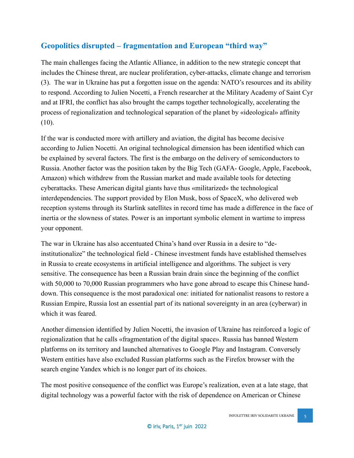# **Geopolitics disrupted – fragmentation and European "third way"**

The main challenges facing the Atlantic Alliance, in addition to the new strategic concept that includes the Chinese threat, are nuclear proliferation, cyber-attacks, climate change and terrorism (3). The war in Ukraine has put a forgotten issue on the agenda: NATO's resources and its ability to respond. According to Julien Nocetti, a French researcher at the Military Academy of Saint Cyr and at IFRI, the conflict has also brought the camps together technologically, accelerating the process of regionalization and technological separation of the planet by «ideological» affinity (10).

If the war is conducted more with artillery and aviation, the digital has become decisive according to Julien Nocetti. An original technological dimension has been identified which can be explained by several factors. The first is the embargo on the delivery of semiconductors to Russia. Another factor was the position taken by the Big Tech (GAFA- Google, Apple, Facebook, Amazon) which withdrew from the Russian market and made available tools for detecting cyberattacks. These American digital giants have thus «militarized» the technological interdependencies. The support provided by Elon Musk, boss of SpaceX, who delivered web reception systems through its Starlink satellites in record time has made a difference in the face of inertia or the slowness of states. Power is an important symbolic element in wartime to impress your opponent.

The war in Ukraine has also accentuated China's hand over Russia in a desire to "deinstitutionalize" the technological field - Chinese investment funds have established themselves in Russia to create ecosystems in artificial intelligence and algorithms. The subject is very sensitive. The consequence has been a Russian brain drain since the beginning of the conflict with 50,000 to 70,000 Russian programmers who have gone abroad to escape this Chinese handdown. This consequence is the most paradoxical one: initiated for nationalist reasons to restore a Russian Empire, Russia lost an essential part of its national sovereignty in an area (cyberwar) in which it was feared.

Another dimension identified by Julien Nocetti, the invasion of Ukraine has reinforced a logic of regionalization that he calls «fragmentation of the digital space». Russia has banned Western platforms on its territory and launched alternatives to Google Play and Instagram. Conversely Western entities have also excluded Russian platforms such as the Firefox browser with the search engine Yandex which is no longer part of its choices.

The most positive consequence of the conflict was Europe's realization, even at a late stage, that digital technology was a powerful factor with the risk of dependence on American or Chinese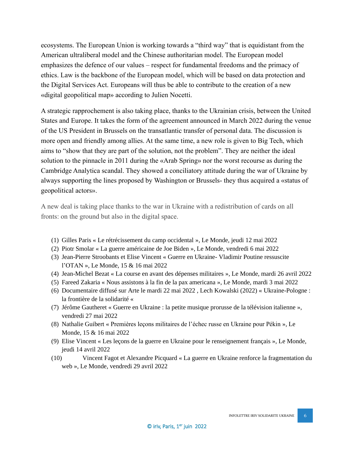ecosystems. The European Union is working towards a "third way" that is equidistant from the American ultraliberal model and the Chinese authoritarian model. The European model emphasizes the defence of our values – respect for fundamental freedoms and the primacy of ethics. Law is the backbone of the European model, which will be based on data protection and the Digital Services Act. Europeans will thus be able to contribute to the creation of a new «digital geopolitical map» according to Julien Nocetti.

A strategic rapprochement is also taking place, thanks to the Ukrainian crisis, between the United States and Europe. It takes the form of the agreement announced in March 2022 during the venue of the US President in Brussels on the transatlantic transfer of personal data. The discussion is more open and friendly among allies. At the same time, a new role is given to Big Tech, which aims to "show that they are part of the solution, not the problem". They are neither the ideal solution to the pinnacle in 2011 during the «Arab Spring» nor the worst recourse as during the Cambridge Analytica scandal. They showed a conciliatory attitude during the war of Ukraine by always supporting the lines proposed by Washington or Brussels- they thus acquired a «status of geopolitical actors».

A new deal is taking place thanks to the war in Ukraine with a redistribution of cards on all fronts: on the ground but also in the digital space.

- (1) Gilles Paris « Le rétrécissement du camp occidental », Le Monde, jeudi 12 mai 2022
- (2) Piotr Smolar « La guerre américaine de Joe Biden », Le Monde, vendredi 6 mai 2022
- (3) Jean-Pierre Stroobants et Elise Vincent « Guerre en Ukraine- Vladimir Poutine ressuscite l'OTAN », Le Monde, 15 & 16 mai 2022
- (4) Jean-Michel Bezat « La course en avant des dépenses militaires », Le Monde, mardi 26 avril 2022
- (5) Fareed Zakaria « Nous assistons à la fin de la pax americana », Le Monde, mardi 3 mai 2022
- (6) Documentaire diffusé sur Arte le mardi 22 mai 2022 , Lech Kowalski (2022) « Ukraine-Pologne : la frontière de la solidarité «
- (7) Jérôme Gautheret « Guerre en Ukraine : la petite musique prorusse de la télévision italienne », vendredi 27 mai 2022
- (8) Nathalie Guibert « Premières leçons militaires de l'échec russe en Ukraine pour Pékin », Le Monde, 15 & 16 mai 2022
- (9) Elise Vincent « Les leçons de la guerre en Ukraine pour le renseignement français », Le Monde, jeudi 14 avril 2022
- (10) Vincent Fagot et Alexandre Picquard « La guerre en Ukraine renforce la fragmentation du web », Le Monde, vendredi 29 avril 2022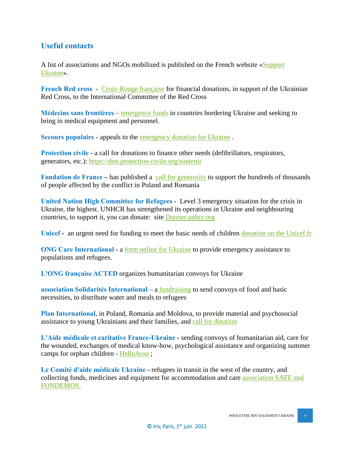### **Useful contacts**

A list of associations and NGOs mobilized is published on the French website [«Support](https://www.supportukraine.co/)  [Ukraine»](https://www.supportukraine.co/).

**French Red cross** - [Croix-Rouge française](https://www.croix-rouge.fr/Nos-actions/Action-internationale/Rechercher-un-programme/LA-CROIX-ROUGE-FRANCAISE-EN-UKRAINE) for financial donations, in support of the Ukrainian Red Cross, to the International Committee of the Red Cross

**Médecins sans frontières** – [emergency funds](https://soutenir.msf.fr/b/mon-don?) in countries bordering Ukraine and seeking to bring in medical equipment and personnel.

**Secours populaire -** appeals to the [emergency donation for Ukraine](https://don.secourspopulaire.fr/ukraine/~mon-don) .

**Protection civile -** a call for donations to finance other needs (defibrillators, respirators, generators, etc.):<https://don.protection-civile.org/soutenir>

**Fondation de France** – has published a [call](https://dons.fondationdefrance.org/solidarite-avec-les-ukrainiens/~mon-don?) for generosity to support the hundreds of thousands of people affected by the conflict in Poland and Romania

**United Nation High Committee for Refugees -** Level 3 emergency situation for the crisis in Ukraine, the highest. UNHCR has strengthened its operations in Ukraine and neighbouring countries, to support it, you can donate: site [Donner.unhcr.org](https://donner.unhcr.org/urgence-ukraine/~mon-don?_cv=1)

**Unicef -** an urgent need for funding to meet the basic needs of children [donation on the Unicef.fr](https://don.unicef.fr/b/mon-don?cid=322&_cv=1)

**ONG Care International -** a [form online for Ukraine](https://soutenir.carefrance.org/urgence-ukraine/~mon-don?_cv=1) to provide emergency assistance to populations and refugees.

**[L'ONG française ACTED](https://acted.iraiser.eu/ukraine/~mon-don)** organizes humanitarian convoys for Ukraine

**association Solidarités International –** a [fundraising](https://dons.solidarites.org/b/mon-don?cid=880&_cv=1) to send convoys of food and basic necessities, to distribute water and meals to refugees

**Plan International**, in Poland, Romania and Moldova, to provide material and psychosocial assistance to young Ukrainians and their families, and [call for dination](https://formulaire.plan-international.fr/urgence-ukraine/~mon-don)

**L'Aide médicale et caritative France-Ukraine -** sending convoys of humanitarian aid, care for the wounded, exchanges of medical know-how, psychological assistance and organizing summer camps for orphan children - [HelloAsso](https://www.helloasso.com/associations/aide%20medicale%20caritative%20france%20ukraine/collectes/aider-ukraine-amcurgence-help-ukraine/don) ;

**Le Comité d'aide médicale Ukraine -** refugees in transit in the west of the country, and collecting funds, medicines and equipment for accommodation and care [association SAFE and](http://www.cam-z.org/en/news/121/) [FONDEMOS.](http://www.cam-z.org/en/news/121/)